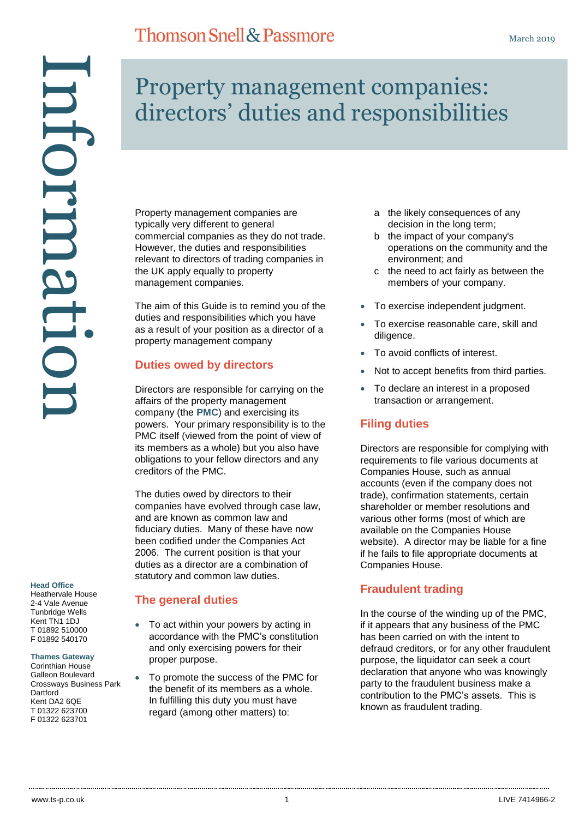# Information ntormati

### **Head Office**

Heathervale House 2-4 Vale Avenue Tunbridge Wells Kent TN1 1DJ T 01892 510000 F 01892 540170

### **Thames Gateway**

Corinthian House Galleon Boulevard Crossways Business Park **Dartford** Kent DA2 6QE T 01322 623700 F 01322 623701

# Property management companies: directors' duties and responsibilities

Property management companies are typically very different to general commercial companies as they do not trade. However, the duties and responsibilities relevant to directors of trading companies in the UK apply equally to property management companies.

The aim of this Guide is to remind you of the duties and responsibilities which you have as a result of your position as a director of a property management company

### **Duties owed by directors**

Directors are responsible for carrying on the affairs of the property management company (the **PMC**) and exercising its powers. Your primary responsibility is to the PMC itself (viewed from the point of view of its members as a whole) but you also have obligations to your fellow directors and any creditors of the PMC.

The duties owed by directors to their companies have evolved through case law, and are known as common law and fiduciary duties. Many of these have now been codified under the Companies Act 2006. The current position is that your duties as a director are a combination of statutory and common law duties.

### **The general duties**

- To act within your powers by acting in accordance with the PMC's constitution and only exercising powers for their proper purpose.
- To promote the success of the PMC for the benefit of its members as a whole. In fulfilling this duty you must have regard (among other matters) to:
- a the likely consequences of any decision in the long term;
- b the impact of your company's operations on the community and the environment; and
- c the need to act fairly as between the members of your company.
- To exercise independent judgment.
- To exercise reasonable care, skill and diligence.
- To avoid conflicts of interest.
- Not to accept benefits from third parties.
- To declare an interest in a proposed transaction or arrangement.

### **Filing duties**

Directors are responsible for complying with requirements to file various documents at Companies House, such as annual accounts (even if the company does not trade), confirmation statements, certain shareholder or member resolutions and various other forms (most of which are available on the Companies House website). A director may be liable for a fine if he fails to file appropriate documents at Companies House.

### **Fraudulent trading**

In the course of the winding up of the PMC, if it appears that any business of the PMC has been carried on with the intent to defraud creditors, or for any other fraudulent purpose, the liquidator can seek a court declaration that anyone who was knowingly party to the fraudulent business make a contribution to the PMC's assets. This is known as fraudulent trading.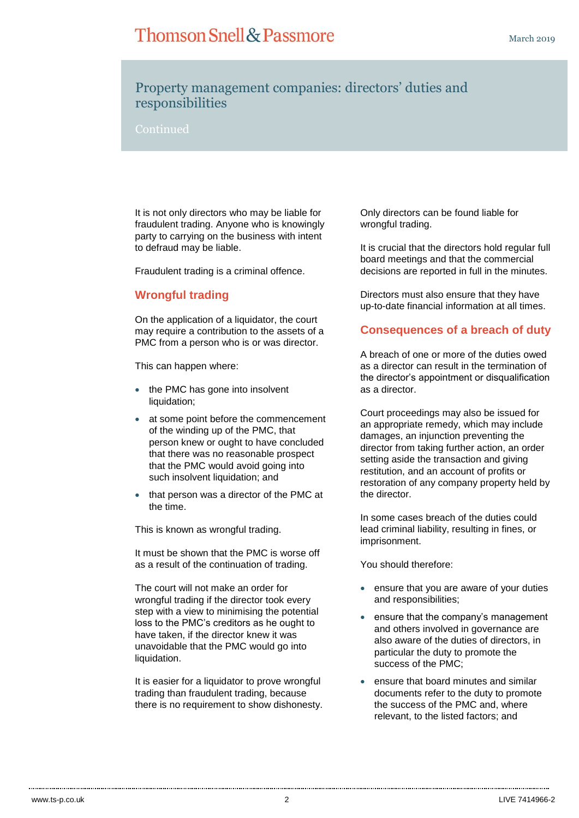# **Thomson Snell & Passmore**

# Property management companies: directors' duties and responsibilities

It is not only directors who may be liable for fraudulent trading. Anyone who is knowingly party to carrying on the business with intent to defraud may be liable.

Fraudulent trading is a criminal offence.

### **Wrongful trading**

On the application of a liquidator, the court may require a contribution to the assets of a PMC from a person who is or was director.

This can happen where:

- the PMC has gone into insolvent liquidation;
- at some point before the commencement of the winding up of the PMC, that person knew or ought to have concluded that there was no reasonable prospect that the PMC would avoid going into such insolvent liquidation; and
- that person was a director of the PMC at the time.

This is known as wrongful trading.

It must be shown that the PMC is worse off as a result of the continuation of trading.

The court will not make an order for wrongful trading if the director took every step with a view to minimising the potential loss to the PMC's creditors as he ought to have taken, if the director knew it was unavoidable that the PMC would go into liquidation.

It is easier for a liquidator to prove wrongful trading than fraudulent trading, because there is no requirement to show dishonesty. Only directors can be found liable for wrongful trading.

It is crucial that the directors hold regular full board meetings and that the commercial decisions are reported in full in the minutes.

Directors must also ensure that they have up-to-date financial information at all times.

### **Consequences of a breach of duty**

A breach of one or more of the duties owed as a director can result in the termination of the director's appointment or disqualification as a director.

Court proceedings may also be issued for an appropriate remedy, which may include damages, an injunction preventing the director from taking further action, an order setting aside the transaction and giving restitution, and an account of profits or restoration of any company property held by the director.

In some cases breach of the duties could lead criminal liability, resulting in fines, or imprisonment.

You should therefore:

- ensure that you are aware of your duties and responsibilities;
- ensure that the company's management and others involved in governance are also aware of the duties of directors, in particular the duty to promote the success of the PMC;
- ensure that board minutes and similar documents refer to the duty to promote the success of the PMC and, where relevant, to the listed factors; and